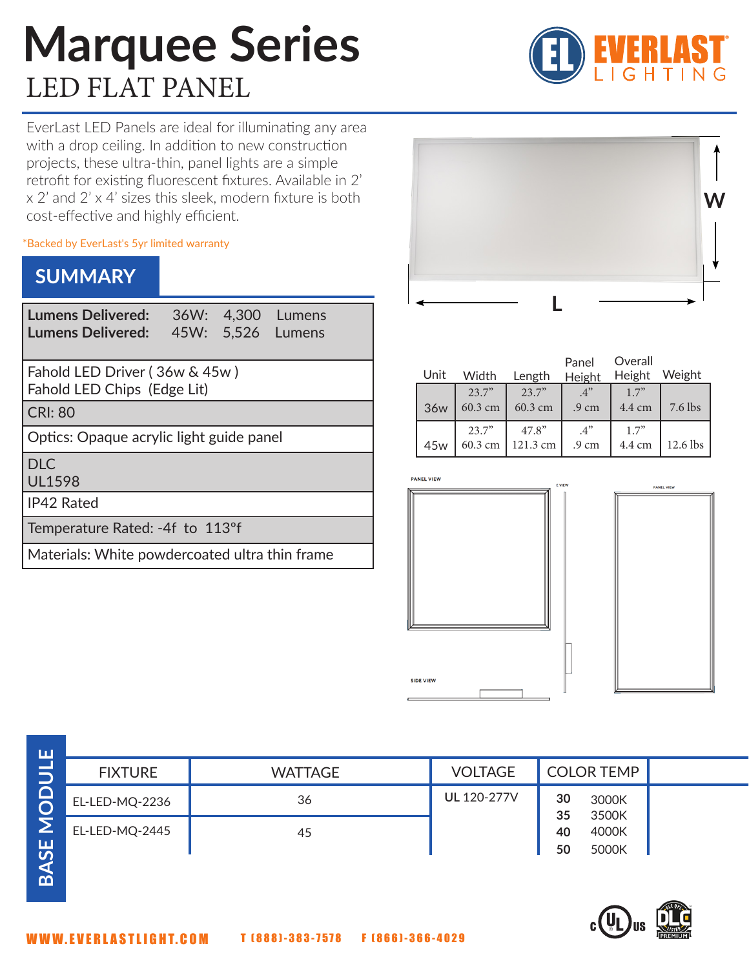## **Marquee Series** LED FLAT PANEL

EverLast LED Panels are ideal for illuminating any area with a drop ceiling. In addition to new construction projects, these ultra-thin, panel lights are a simple retrofit for existing fluorescent fixtures. Available in 2' x 2' and 2' x 4' sizes this sleek, modern fixture is both cost-effective and highly efficient.

\*Backed by EverLast's 5yr limited warranty

## **SUMMARY**

| <b>Lumens Delivered:</b><br><b>Lumens Delivered:</b>         | 36W:<br>45W: | 4,300<br>5,526 | Lumens<br>Lumens |  |  |
|--------------------------------------------------------------|--------------|----------------|------------------|--|--|
| Fahold LED Driver (36w & 45w)<br>Fahold LED Chips (Edge Lit) |              |                |                  |  |  |
| <b>CRI: 80</b>                                               |              |                |                  |  |  |
| Optics: Opaque acrylic light guide panel                     |              |                |                  |  |  |
| <b>DLC</b><br><b>UL1598</b>                                  |              |                |                  |  |  |
| <b>IP42 Rated</b>                                            |              |                |                  |  |  |
| Temperature Rated: -4f to 113°f                              |              |                |                  |  |  |
| Materials: White powdercoated ultra thin frame               |              |                |                  |  |  |



| Unit            | Width            | Length            | Panel<br>Height                                 | Overall<br>Height | Weight    |
|-----------------|------------------|-------------------|-------------------------------------------------|-------------------|-----------|
| 36w             | 23.7"<br>60.3 cm | 23.7"<br>60.3 cm  | $\mathcal{A}^{\prime\prime}$<br>$.9 \text{ cm}$ | 1.7"<br>4.4 cm    | $7.6$ lbs |
| 45 <sub>w</sub> | 23.7"<br>60.3 cm | 47.8"<br>121.3 cm | $\mathcal{A}^{\prime\prime}$<br>$.9 \text{ cm}$ | 1.7"<br>4.4 cm    | 12.6 lbs  |





| ш                                         |                |                |                |                            |  |
|-------------------------------------------|----------------|----------------|----------------|----------------------------|--|
| -<br>—                                    | <b>FIXTURE</b> | <b>WATTAGE</b> | <b>VOLTAGE</b> | <b>COLOR TEMP</b>          |  |
| $\overline{\mathsf{d}}$<br>$\overline{O}$ | EL-LED-MQ-2236 | 36             | UL 120-277V    | 30<br>3000K<br>3500K<br>35 |  |
| <u>&gt;</u><br>ш                          | EL-LED-MQ-2445 | 45             |                | 4000K<br>40<br>50<br>5000K |  |
| ທ<br>◁<br>മ്                              |                |                |                |                            |  |